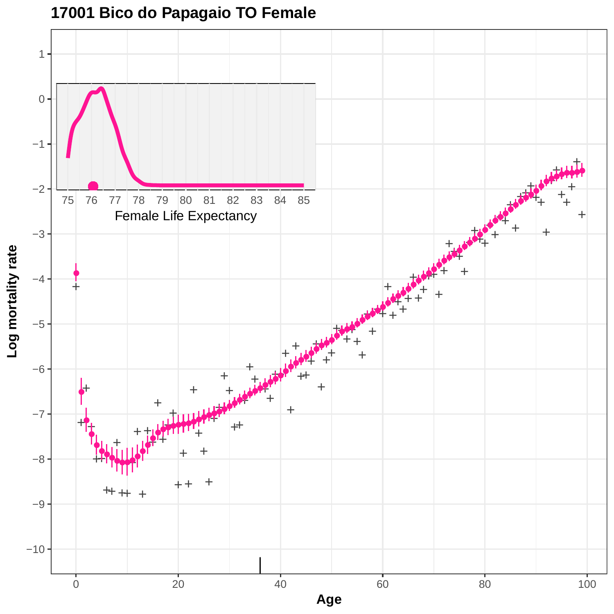

## **17001 Bico do Papagaio TO Female**

**Age**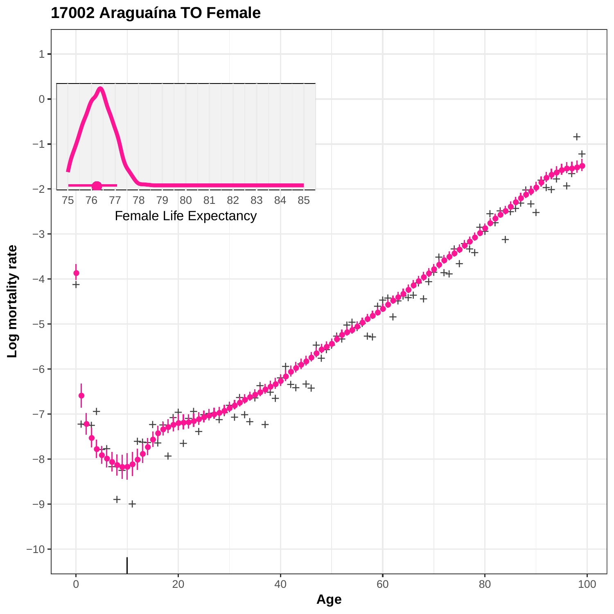**17002 Araguaína TO Female**

![](_page_1_Figure_1.jpeg)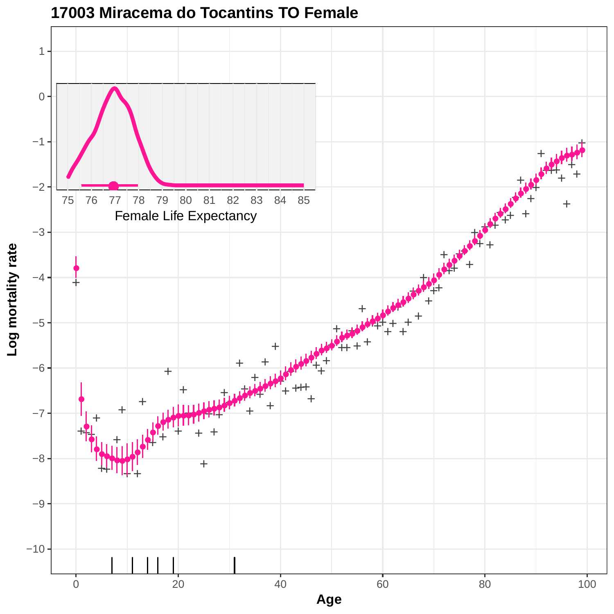![](_page_2_Figure_0.jpeg)

**17003 Miracema do Tocantins TO Female**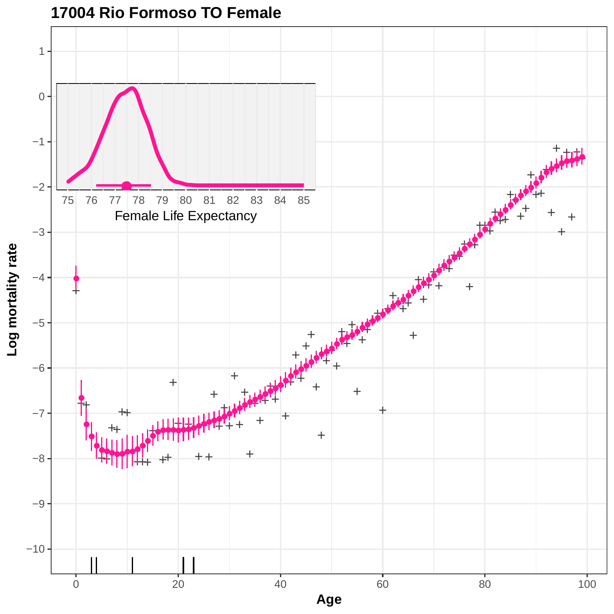![](_page_3_Figure_0.jpeg)

**17004 Rio Formoso TO Female**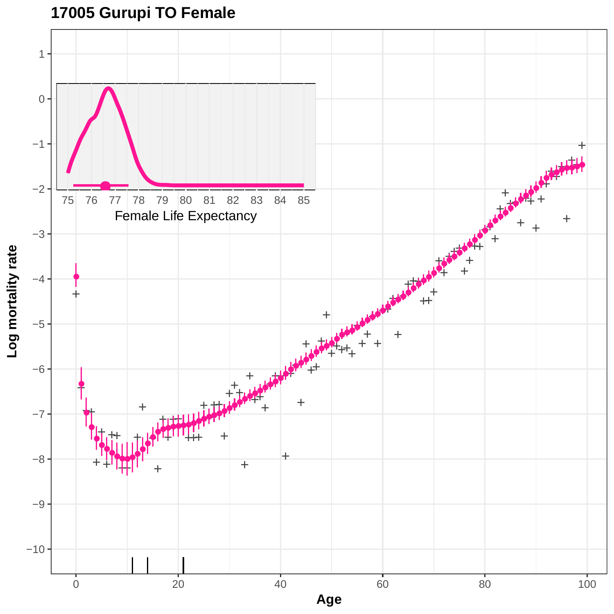# **17005 Gurupi TO Female**

![](_page_4_Figure_1.jpeg)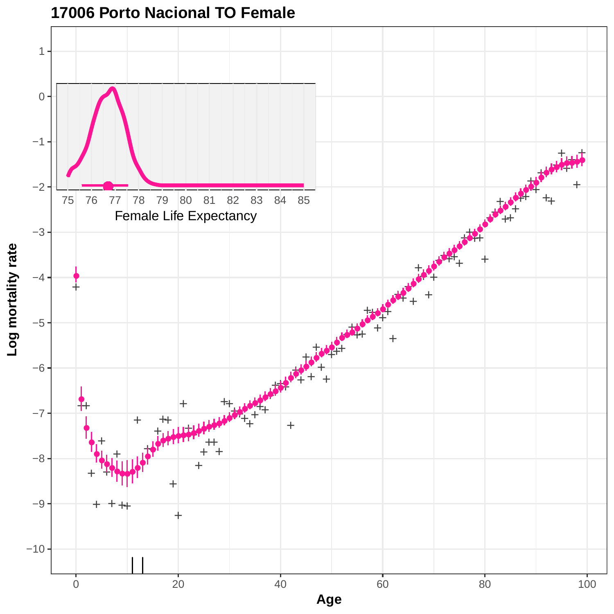![](_page_5_Figure_0.jpeg)

## **17006 Porto Nacional TO Female**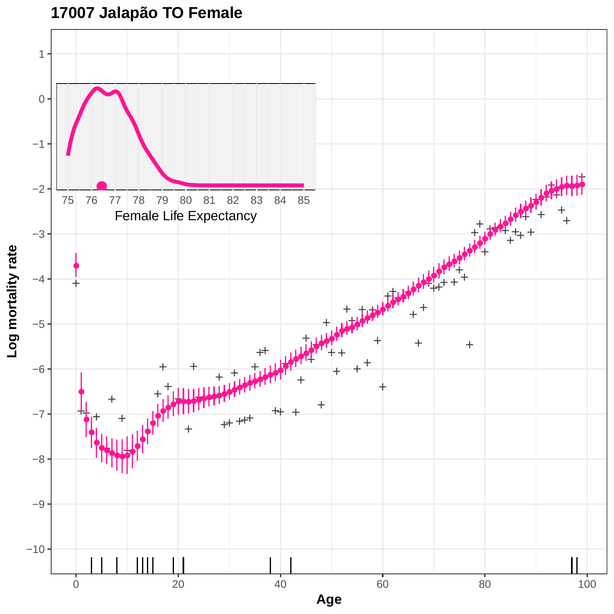# **17007 Jalapão TO Female**

![](_page_6_Figure_1.jpeg)